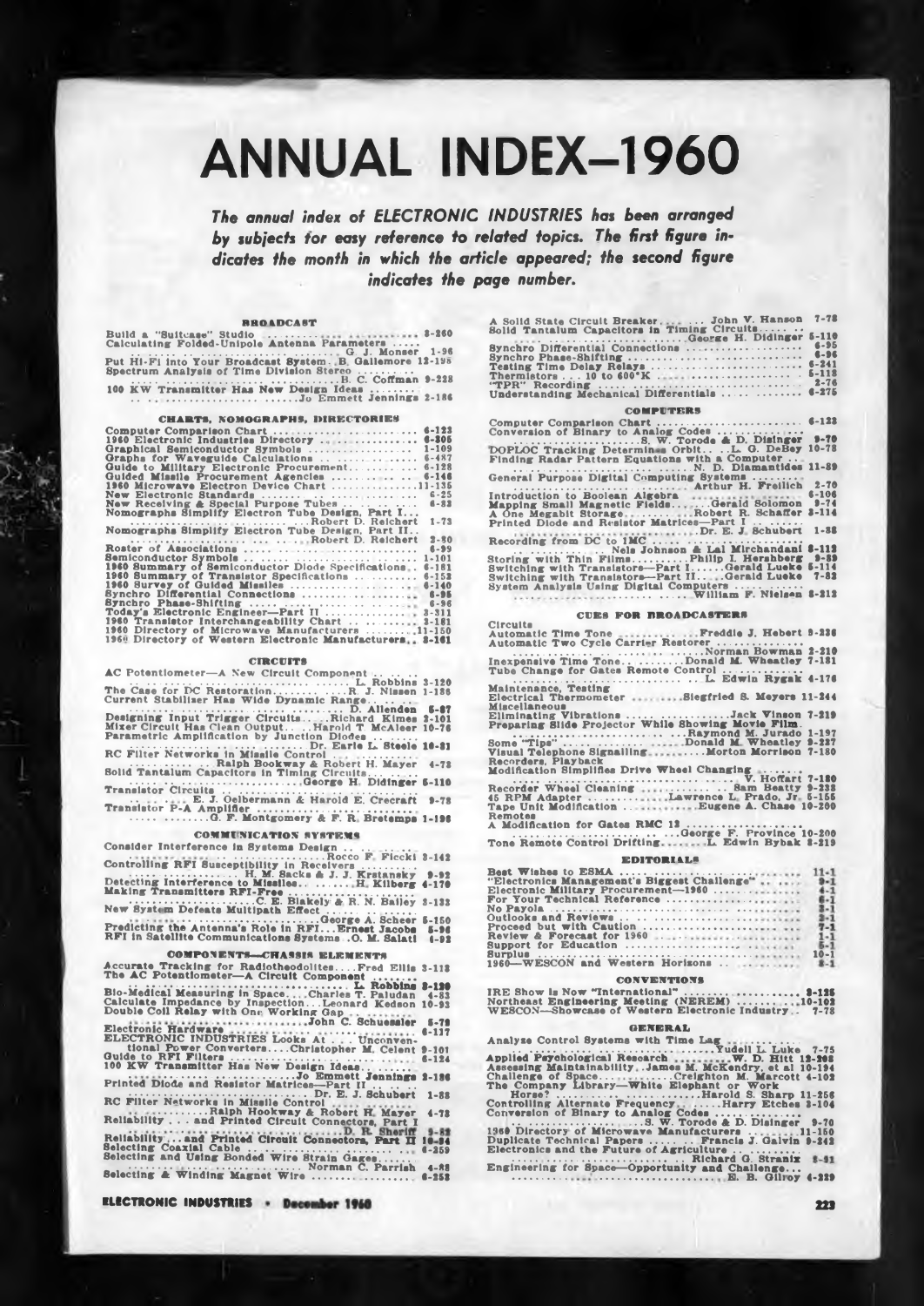# **ANNUAL INDEX-1960**

The annual index of ELECTRONIC INDUSTRIES has been arranged by subjects for easy reference to related topics. The first figure indicates the month in which the article appeared; the second figure indicates the page number.

# *RROADCAST*

REOADCAST<br>
Calculating Folded-Unipole Antenna Parameters<br>
Put Hi-Fi into Your Broadcast System. B. Gallemore 12-195<br>
Spectrum Analysis of Time Division Stereo ..........<br>
100 KW Transmitter Has New Design Ideas ...........

# CHARTS, NOMOGRAPHS, DIRECTORIES

| Computer Comparison Chart                                                                     | 6-123     |
|-----------------------------------------------------------------------------------------------|-----------|
| 1960 Electronic Industries Directory                                                          | $6 - 205$ |
| Graphical Semiconductor Symbols                                                               | $1 - 109$ |
| Graphs for Waveguide Calculations                                                             | $6 - 487$ |
| Guide to Military Electronic Procurement                                                      | $6 - 128$ |
| Guided Missile Procurement Agencies                                                           | $6 - 146$ |
| 1960 Microwave Electron Device Chart 11-135                                                   |           |
| New Electronic Standards                                                                      | $6 - 25$  |
| New Receiving $\triangle$ Special Purpose Tubes                                               | $6 - 83$  |
| Nomographs Simplify Electron Tube Design, Part I                                              |           |
|                                                                                               | $1 - 73$  |
| Nomographs Simplify Electron Tube Design, Part II                                             |           |
| Robert D. Reichert                                                                            | $2 - 30$  |
| Roster of Associations                                                                        | $8 - 99$  |
|                                                                                               | $1 - 101$ |
| 1960 Summary of Semiconductor Diode Specifications                                            | $6 - 181$ |
| 1960 Summary of Transistor Specifications                                                     | $6 - 152$ |
| 1960 Survey of Guided Missiles                                                                | $6 - 140$ |
| Synchro Differential Connections                                                              | $8 - 95$  |
| Synchro Phase-Shifting                                                                        | $6 - 96$  |
| Today's Electronic Engineer-Part II  3-311<br>1960 Transletor Interchangeability Chart  3-181 |           |
| 1960 Directory of Microwave Manufacturers 11-150                                              |           |
| 1960 Directory of Western Electronic Manufacturers 3-161                                      |           |
|                                                                                               |           |

# **CIRCUITS**

| AC POtentiometer—A New Circuit Component $\ldots$ $\ldots$ |          |
|------------------------------------------------------------|----------|
|                                                            |          |
| The Case for DC RestorationR. J. Nissen 1-136              |          |
| Current Stabilizer Has Wide Dynamic Range                  |          |
| D. Allenden 5-87                                           |          |
| Designing Input Trigger CircuitsRichard Kimes 2-101        |          |
| Mixer Circuit Has Clean OutputHarold T. McAleer 10-76      |          |
| Parametric Amplification by Junction Diodes                |          |
| Dr. Earle L. Steele 10-21                                  |          |
| RC Filter Networks in Missile Control                      |          |
| Ralph Bookway & Robert H. Mayer 4-72                       |          |
| Solid Tantalum Capacitors in Timing Circuits               |          |
| George H. Didinger 5-110                                   |          |
|                                                            |          |
| E. J. Oelbermann & Harold E. Crecraft                      | $9 - 7R$ |
| Translator P-A Amplifier                                   |          |
|                                                            |          |
|                                                            |          |

# **COMMUNICATION SYSTEMS**

| Consider Interference in Systems Design                |          |
|--------------------------------------------------------|----------|
|                                                        |          |
| Controlling RFI Susceptibility in Receivers            |          |
| H. M. Sacks & J. J. Krstansky 9-92                     |          |
| Detecting Interference to Missiles H. Kilberg 4-170    |          |
| Making Transmitters RFI-Free                           |          |
| C. E. Blakely & R. N. Bailey 3-133                     |          |
| New System Defeats Multipath Effect                    |          |
|                                                        |          |
| Predicting the Antenna's Role in RFI Ernest Jacobs     | $5 - 96$ |
| RFI in Satellite Communications Systems . O. M. Salati | $1 - 92$ |
|                                                        |          |

# **COMPONENTS-CHASSIS ELEMENT**

| Accurate Tracking for RadiotheodolitesFred Ellis 3-112<br>The AC Potentiometer-A Circuit Component                                                                          |                                    |
|-----------------------------------------------------------------------------------------------------------------------------------------------------------------------------|------------------------------------|
| L. Robbins 2-120<br>Blo-Medical Measuring in SpaceCharles T. Paludan 4-83<br>Calculate Impedance by InspectionLeonard Kedson 10-93                                          |                                    |
| Double Coil Relay with One Working Gap                                                                                                                                      | $5 - 79$<br>$4 - 117$              |
| ELECTRONIC INDUSTRIES Looks At Unconven-<br>tional Power ConvertersChristopher M. Celent 9-101                                                                              |                                    |
| 100 KW Transmitter Has New Design Ideas<br>Jo Emmett Jennings 2-186                                                                                                         | $6 - 124$                          |
| Printed Diode and Resistor Matrices-Part II<br>Dr. E. J. Schubert<br>RC Filter Natworks in Missile Control                                                                  | $1 - 88$                           |
| Ralph Hookway & Robert H. Mayer<br>Reliability and Printed Circuit Connectors, Part I                                                                                       | $4 - 72$                           |
| D. R. Sheriff<br><b>*****************</b><br>Reliability and Printed Circuit Connectors, Part II<br>Selecting Coaxial Cable<br>Selecting and Using Bonded Wire Strain Gages | $9 - 82$<br>$10 - 94$<br>$6 - 259$ |
| Norman C. Parrish<br>Selecting & Winding Magnet Wire                                                                                                                        | $4 - 88$<br>$6 - 252$              |

**ELECTRONIC INDUSTRIES - December 1960** 

| A Solid State Circuit Breaker John V. Hanson 7-78                        |  |
|--------------------------------------------------------------------------|--|
| Solid Tantalum Capacitors in Timing Circuits<br>George H. Didinger 5-110 |  |
| Synchro Differential Connections  6-95                                   |  |
|                                                                          |  |
|                                                                          |  |
| Understanding Mechanical Differentials   6-275                           |  |

### **COMPUTERS**

Computer Comparison Charles Contractors (4-123<br>
Conversion of Binary to Analog Codes<br>
DOPLOC Tracking Determine Orbit. . . L. G. Delley 10-78<br>
Finding Radar Pattern Equations with a Computer<br>
N. D. Diamantides 11-89<br>
N. D. 

# **CUES FOR REOADCASTERS**

Circuits

Remotes<br>
A Modification for Gates RMC 12<br>
Tone Remote Control Drifting<br>
The Remote Control Drifting<br>
L. Edwin Bybak 8-219

# **EDITORIALS**

| "Electronics Management's Biggest Challenge"  9-1 |          |
|---------------------------------------------------|----------|
| Electronic Military Procurement-1960  4-1         |          |
| For Your Technical Reference                      | $6 - 1$  |
|                                                   | $3 - 1$  |
|                                                   |          |
| Proceed but with Caution                          | $7 - 1$  |
|                                                   |          |
|                                                   | $5 - 1$  |
|                                                   | $10 - 1$ |
| 1960 WESCON and Western Horizons                  | $8 - 1$  |

# **CONVENTIONS**

| IRE Show in Now "International"  3-125              |  |
|-----------------------------------------------------|--|
| Northeast Engineering Meeting (NEREM) 10-102        |  |
| WESCON-Showcase of Western Electronic Industry 7-78 |  |

# **GENERAL**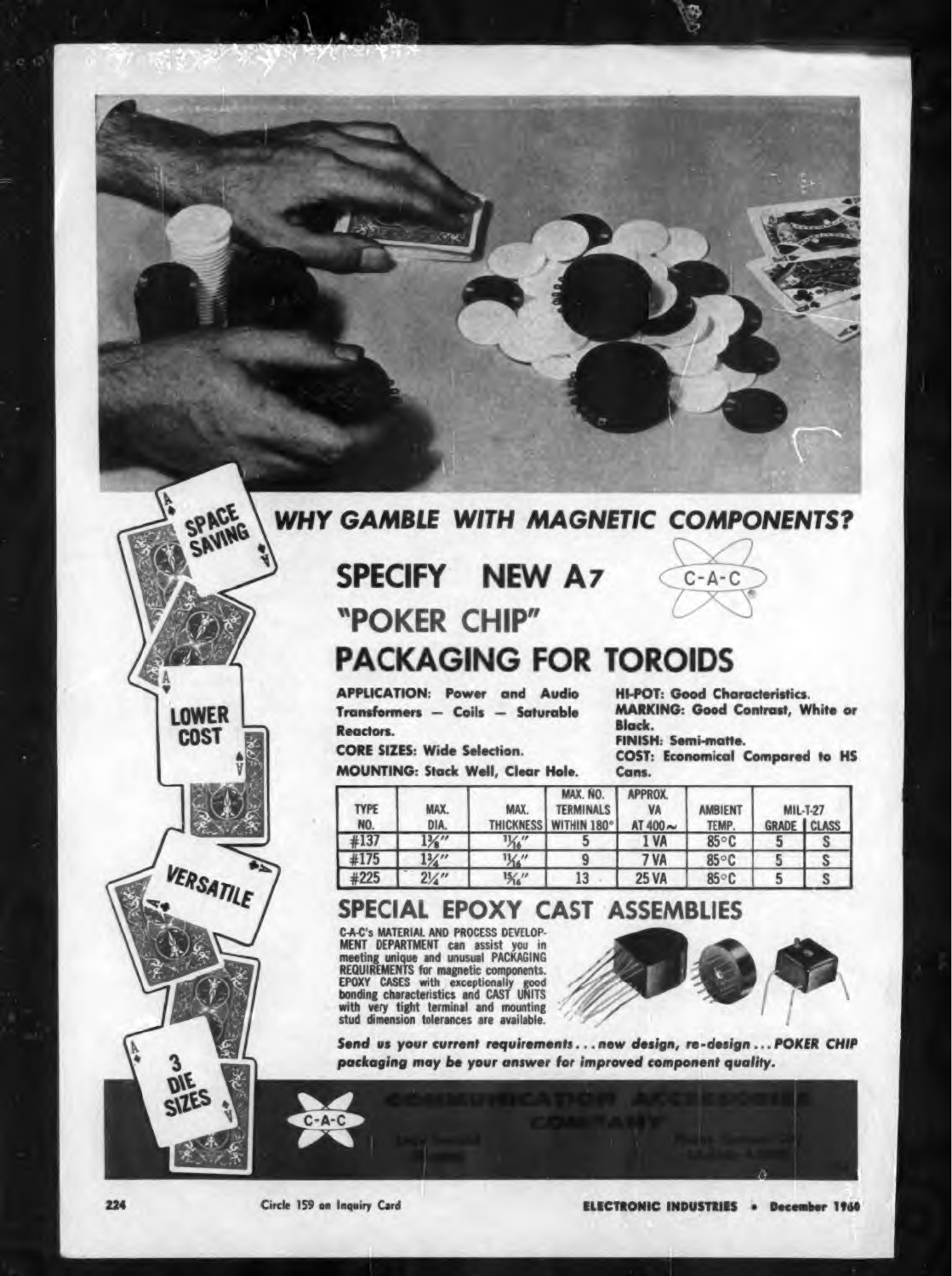# **WHY GAMBLE WITH MAGNETIC COMPONENTS?**

SPECIFY NEW A7 "POKER CHIP" **PACKAGING FOR TOROIDS** 

**APPLICATION: Power and Audio** Transformers - Coils - Saturable Reactors.

**CORE SIZES: Wide Selection. MOUNTING: Stack Well, Clear Hole.** 

**HI-POT: Good Characteristics. MARKING: Good Contrast, White or** Black. FINISH: Semi-matte.

 $C - A - C$ 

**COST: Economical Compared to HS** Cans.

| <b>TYPE</b><br>NO. | MAX.<br>DIA.     | MAX.<br>THICKNESS   W | MAX. NO.<br><b>TERMINALS</b><br><b>THIN 180°</b> | APPROX.<br>VA<br>AT 400 $\sim$ | <b>AMBIENT</b><br>TEMP. | <b>MIL-T-27</b><br><b>GRADE   CLASS</b> |
|--------------------|------------------|-----------------------|--------------------------------------------------|--------------------------------|-------------------------|-----------------------------------------|
| #137               | $\frac{13}{6}$   | $\frac{11}{16}$       |                                                  | 1 VA                           | 85°C                    |                                         |
| #175               | $1\frac{3}{4}$ " | $\frac{11}{16}$       |                                                  | 7 VA                           | 85°C                    | S                                       |
| #225               | $2\frac{1}{4}$ " | $\frac{15}{16}$       | 13                                               | <b>25 VA</b>                   | $85^{\circ}$ C          |                                         |

# SPECIAL EPOXY CAST ASSEMBLIES

**C-A-C's MATERIAL AND PROCESS DEVELOP-**<br>MENT DEPARTMENT can assist you in<br>meeting unique and unusual PACKAGING<br>REQUIREMENTS for magnetic components. EPOXY CASES with exceptionally good<br>bonding characteristics and CAST UNITS<br>with very tight terminal and mounting stud dimension tolerances are available.



Send us your current requirements...new design, re-design...POKER CHIP packaging may be your answer for improved component quality.

Circle 159 on Inquiry Card

 $C - A - C$ 

ELECTRONIC INDUSTRIES . December 1960



PACE

**LOWER** 

**COST** 

VERSATILE

SAVING